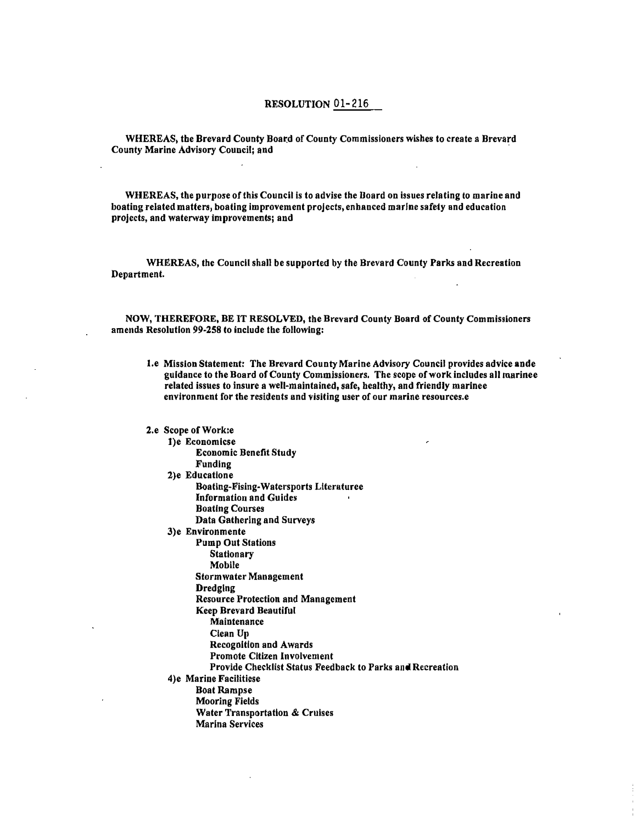## **RESOLUTION 01-216**

**WHEREAS, the Brevard County Board of County Commissioners wishes to create a Brevard County Marine Advisory Council; and** 

**WHEREAS, the purpose of this Council is to advise the Board on issues relating to marine and boating related matters, boating improvement projects, enhanced marine safety and education projects, and waterway improvements; and** 

**WHEREAS, the Council shall be supported by the Brevard County Parks and Recreation Department.** 

**NOW, THEREFORE, BE IT RESOLVED, the Brevard County Board of County Commissioners amends Resolution 99-258 to include the following:** 

**I.e Mission Statement: The Brevard County Marine Advisory Council provides advice ande guidance to the Board of County Commissioners. The scope of work includes all marinee related issues to insure a well-maintained, safe, healthy, and friendly marinee environment for the residents end visiting user of our marine resources.e**

**2.e Scope of Work:e 1)e Economicse Economic Benefit Study Funding 2)e Educatione Boallng-Fising-Watersports Literaturee Information and Guides Boating Courses Data Gathering and Surveys 3)e Environmente Pump Out Stations Stationary Mobile Stormwater Management Dredging Resource Protection and Management Keep Brevard Beautiful Maintenance Clean Up Recognition and Awards Promote Citizen Involvement Provide Checklist Status Feedback to Parks and Recreation 4)e Marine Facilitiese Boat Rampse Mooring Fields Water Transportation & Cruises Marina Services**